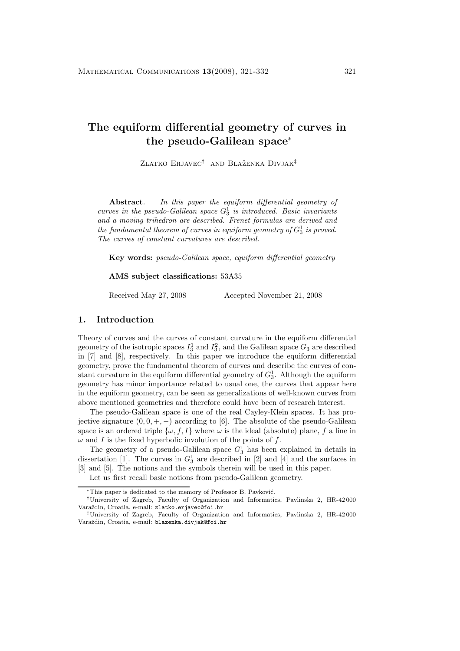# **The equiform differential geometry of curves in the pseudo-Galilean space**<sup>∗</sup>

ZLATKO ERJAVEC<sup>†</sup> AND BLAŽENKA DIVJAK<sup>‡</sup>

**Abstract***. In this paper the equiform differential geometry of curves in the pseudo-Galilean space*  $G_3^1$  *is introduced. Basic invariants and a moving trihedron are described. Frenet formulas are derived and*  $the\ fundamental\ theorem\ of\ curves\ in\ equiform\ geometry\ of\  $G_3^1$  is proved.$ *The curves of constant curvatures are described.*

**Key words:** *pseudo-Galilean space, equiform differential geometry*

#### **AMS subject classifications:** 53A35

Received May 27, 2008 Accepted November 21, 2008

# **1. Introduction**

Theory of curves and the curves of constant curvature in the equiform differential geometry of the isotropic spaces  $I_3^1$  and  $I_3^2$ , and the Galilean space  $G_3$  are described in [7] and [8], respectively. In this paper we introduce the equiform differential geometry, prove the fundamental theorem of curves and describe the curves of constant curvature in the equiform differential geometry of  $G_3^1$ . Although the equiform geometry has minor importance related to usual one, the curves that appear here in the equiform geometry, can be seen as generalizations of well-known curves from above mentioned geometries and therefore could have been of research interest.

The pseudo-Galilean space is one of the real Cayley-Klein spaces. It has projective signature  $(0, 0, +, -)$  according to [6]. The absolute of the pseudo-Galilean space is an ordered triple  $\{\omega, f, I\}$  where  $\omega$  is the ideal (absolute) plane, f a line in  $\omega$  and I is the fixed hyperbolic involution of the points of f.

The geometry of a pseudo-Galilean space  $G_3^1$  has been explained in details in dissertation [1]. The curves in  $G_3^1$  are described in [2] and [4] and the surfaces in [3] and [5]. The notions and the symbols therein will be used in this paper.

Let us first recall basic notions from pseudo-Galilean geometry.

<sup>\*</sup>This paper is dedicated to the memory of Professor B. Pavković.

<sup>†</sup>University of Zagreb, Faculty of Organization and Informatics, Pavlinska 2, HR-42 000 Varaždin, Croatia, e-mail: zlatko.erjavec@foi.hr

<sup>‡</sup>University of Zagreb, Faculty of Organization and Informatics, Pavlinska 2, HR-42 000 Varaždin, Croatia, e-mail: blazenka.divjak@foi.hr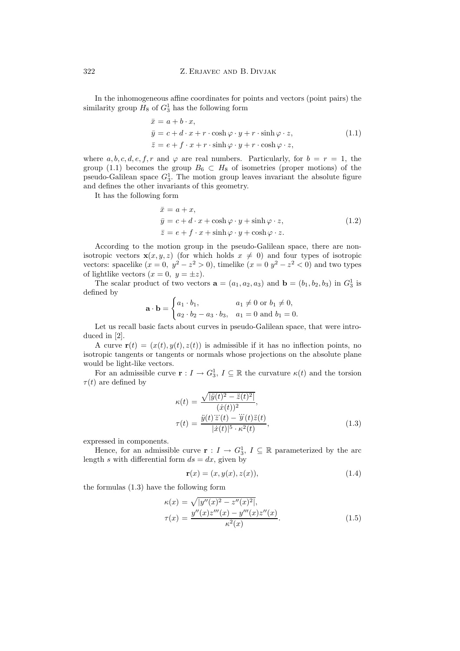In the inhomogeneous affine coordinates for points and vectors (point pairs) the similarity group  $H_8$  of  $G_3^1$  has the following form

$$
\begin{aligned}\n\bar{x} &= a + b \cdot x, \\
\bar{y} &= c + d \cdot x + r \cdot \cosh \varphi \cdot y + r \cdot \sinh \varphi \cdot z, \\
\bar{z} &= e + f \cdot x + r \cdot \sinh \varphi \cdot y + r \cdot \cosh \varphi \cdot z,\n\end{aligned} \tag{1.1}
$$

where a, b, c, d, e, f, r and  $\varphi$  are real numbers. Particularly, for  $b = r = 1$ , the group (1.1) becomes the group  $B_6 \subset H_8$  of isometries (proper motions) of the pseudo-Galilean space  $G_3^1$ . The motion group leaves invariant the absolute figure and defines the other invariants of this geometry.

It has the following form

$$
\begin{aligned}\n\bar{x} &= a + x, \\
\bar{y} &= c + d \cdot x + \cosh \varphi \cdot y + \sinh \varphi \cdot z, \\
\bar{z} &= e + f \cdot x + \sinh \varphi \cdot y + \cosh \varphi \cdot z.\n\end{aligned}
$$
(1.2)

According to the motion group in the pseudo-Galilean space, there are nonisotropic vectors  $\mathbf{x}(x, y, z)$  (for which holds  $x \neq 0$ ) and four types of isotropic vectors: spacelike  $(x = 0, y^2 - z^2 > 0)$ , timelike  $(x = 0, y^2 - z^2 < 0)$  and two types of lightlike vectors  $(x = 0, y = \pm z)$ .

The scalar product of two vectors  $\mathbf{a} = (a_1, a_2, a_3)$  and  $\mathbf{b} = (b_1, b_2, b_3)$  in  $G_3^1$  is defined by

$$
\mathbf{a} \cdot \mathbf{b} = \begin{cases} a_1 \cdot b_1, & a_1 \neq 0 \text{ or } b_1 \neq 0, \\ a_2 \cdot b_2 - a_3 \cdot b_3, & a_1 = 0 \text{ and } b_1 = 0. \end{cases}
$$

Let us recall basic facts about curves in pseudo-Galilean space, that were introduced in [2].

A curve  $\mathbf{r}(t)=(x(t), y(t), z(t))$  is admissible if it has no inflection points, no isotropic tangents or tangents or normals whose projections on the absolute plane would be light-like vectors.

For an admissible curve  $\mathbf{r} : I \to G_3^1$ ,  $I \subseteq \mathbb{R}$  the curvature  $\kappa(t)$  and the torsion  $\tau(t)$  are defined by

$$
\kappa(t) = \frac{\sqrt{|\ddot{y}(t)^2 - \ddot{z}(t)^2|}}{(\dot{x}(t))^2},
$$
  

$$
\tau(t) = \frac{\ddot{y}(t)\dddot{z}(t) - \dddot{y}(t)\ddot{z}(t)}{|\dot{x}(t)|^5 \cdot \kappa^2(t)},
$$
(1.3)

expressed in components.

Hence, for an admissible curve **r** :  $I \rightarrow G_3^1$ ,  $I \subseteq \mathbb{R}$  parameterized by the arc length s with differential form  $ds = dx$ , given by

$$
\mathbf{r}(x) = (x, y(x), z(x)), \tag{1.4}
$$

the formulas (1.3) have the following form

$$
\kappa(x) = \sqrt{|y''(x)^2 - z''(x)^2|},
$$
  
\n
$$
\tau(x) = \frac{y''(x)z'''(x) - y'''(x)z''(x)}{\kappa^2(x)}.
$$
\n(1.5)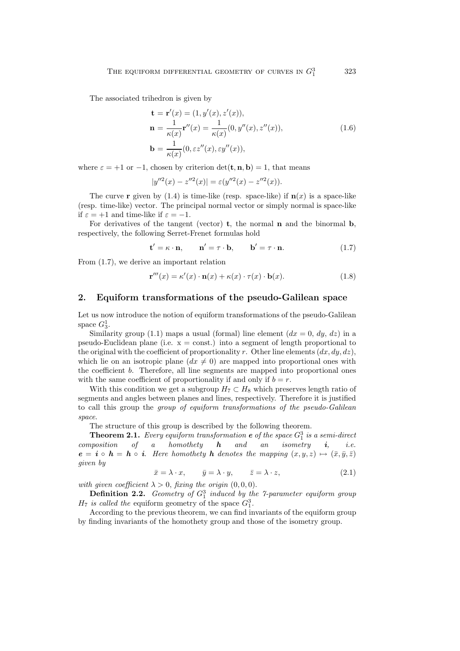The associated trihedron is given by

$$
\mathbf{t} = \mathbf{r}'(x) = (1, y'(x), z'(x)),
$$
  
\n
$$
\mathbf{n} = \frac{1}{\kappa(x)} \mathbf{r}''(x) = \frac{1}{\kappa(x)} (0, y''(x), z''(x)),
$$
  
\n
$$
\mathbf{b} = \frac{1}{\kappa(x)} (0, \varepsilon z''(x), \varepsilon y''(x)),
$$
\n(1.6)

where  $\varepsilon = +1$  or  $-1$ , chosen by criterion  $\det(\mathbf{t}, \mathbf{n}, \mathbf{b}) = 1$ , that means

$$
|y''^{2}(x) - z''^{2}(x)| = \varepsilon (y''^{2}(x) - z''^{2}(x)).
$$

The curve **r** given by  $(1.4)$  is time-like (resp. space-like) if  $\mathbf{n}(x)$  is a space-like (resp. time-like) vector. The principal normal vector or simply normal is space-like if  $\varepsilon = +1$  and time-like if  $\varepsilon = -1$ .

For derivatives of the tangent (vector) **t**, the normal **n** and the binormal **b**, respectively, the following Serret-Frenet formulas hold

$$
\mathbf{t}' = \kappa \cdot \mathbf{n}, \qquad \mathbf{n}' = \tau \cdot \mathbf{b}, \qquad \mathbf{b}' = \tau \cdot \mathbf{n}. \tag{1.7}
$$

From (1.7), we derive an important relation

$$
\mathbf{r}'''(x) = \kappa'(x) \cdot \mathbf{n}(x) + \kappa(x) \cdot \tau(x) \cdot \mathbf{b}(x). \tag{1.8}
$$

### **2. Equiform transformations of the pseudo-Galilean space**

Let us now introduce the notion of equiform transformations of the pseudo-Galilean space  $G_3^1$ .

Similarity group (1.1) maps a usual (formal) line element  $(dx = 0, dy, dz)$  in a pseudo-Euclidean plane (i.e.  $x =$  const.) into a segment of length proportional to the original with the coefficient of proportionality r. Other line elements  $(dx, dy, dz)$ , which lie on an isotropic plane  $(dx \neq 0)$  are mapped into proportional ones with the coefficient b. Therefore, all line segments are mapped into proportional ones with the same coefficient of proportionality if and only if  $b = r$ .

With this condition we get a subgroup  $H_7 \subset H_8$  which preserves length ratio of segments and angles between planes and lines, respectively. Therefore it is justified to call this group the *group of equiform transformations of the pseudo-Galilean space*.

The structure of this group is described by the following theorem.

**Theorem 2.1.** *Every equiform transformation*  $e$  *of the space*  $G_1^3$  *is a semi-direct composition of a homothety h and an isometry i, i.e.*  $e = i \circ h = h \circ i$ . Here homothety **h** denotes the mapping  $(x, y, z) \mapsto (\bar{x}, \bar{y}, \bar{z})$ *given by*

$$
\bar{x} = \lambda \cdot x, \qquad \bar{y} = \lambda \cdot y, \qquad \bar{z} = \lambda \cdot z,
$$
\n(2.1)

*with given coefficient*  $\lambda > 0$ , *fixing the origin*  $(0, 0, 0)$ .

**Definition 2.2.** *Geometry of*  $G_1^3$  *induced by the 7-parameter equiform group*  $H_7$  *is called the* equiform geometry of the space  $G_1^3$ .

According to the previous theorem, we can find invariants of the equiform group by finding invariants of the homothety group and those of the isometry group.

<sup>1</sup> 323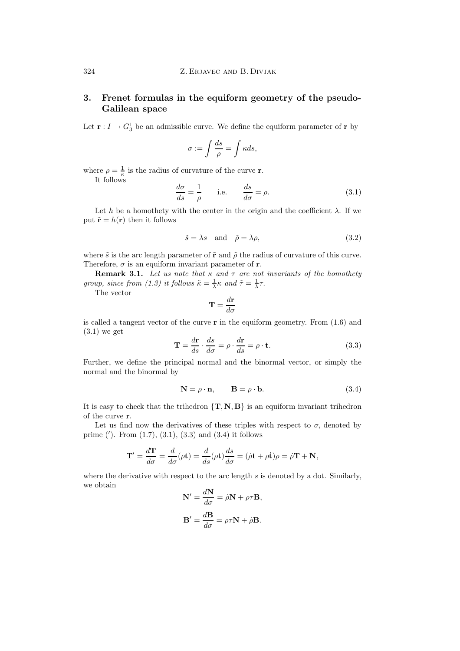# **3. Frenet formulas in the equiform geometry of the pseudo-Galilean space**

Let  $\mathbf{r}: I \to G_3^1$  be an admissible curve. We define the equiform parameter of  $\mathbf{r}$  by

$$
\sigma := \int \frac{ds}{\rho} = \int \kappa ds,
$$

where  $\rho = \frac{1}{\kappa}$  is the radius of curvature of the curve **r**. It follows

$$
\frac{d\sigma}{ds} = \frac{1}{\rho} \quad \text{i.e.} \quad \frac{ds}{d\sigma} = \rho. \tag{3.1}
$$

Let h be a homothety with the center in the origin and the coefficient  $\lambda$ . If we put  $\tilde{\mathbf{r}} = h(\mathbf{r})$  then it follows

$$
\tilde{s} = \lambda s \quad \text{and} \quad \tilde{\rho} = \lambda \rho,
$$
\n(3.2)

where  $\tilde{s}$  is the arc length parameter of  $\tilde{r}$  and  $\tilde{\rho}$  the radius of curvature of this curve. Therefore,  $\sigma$  is an equiform invariant parameter of **r**.

**Remark 3.1.** *Let us note that* κ *and* τ *are not invariants of the homothety group, since from (1.3) it follows*  $\tilde{\kappa} = \frac{1}{\lambda} \kappa$  *and*  $\tilde{\tau} = \frac{1}{\lambda} \tau$ .

The vector

$$
\mathbf{T}=\frac{d\mathbf{r}}{d\sigma}
$$

is called a tangent vector of the curve **r** in the equiform geometry. From (1.6) and (3.1) we get

$$
\mathbf{T} = \frac{d\mathbf{r}}{ds} \cdot \frac{ds}{d\sigma} = \rho \cdot \frac{d\mathbf{r}}{ds} = \rho \cdot \mathbf{t}.
$$
 (3.3)

Further, we define the principal normal and the binormal vector, or simply the normal and the binormal by

$$
\mathbf{N} = \rho \cdot \mathbf{n}, \qquad \mathbf{B} = \rho \cdot \mathbf{b}.
$$
 (3.4)

It is easy to check that the trihedron  ${\bf{T}, N, B}$  is an equiform invariant trihedron of the curve **r**.

Let us find now the derivatives of these triples with respect to  $\sigma$ , denoted by prime ( ). From (1.7), (3.1), (3.3) and (3.4) it follows

$$
\mathbf{T}' = \frac{d\mathbf{T}}{d\sigma} = \frac{d}{d\sigma}(\rho \mathbf{t}) = \frac{d}{ds}(\rho \mathbf{t})\frac{ds}{d\sigma} = (\dot{\rho}\mathbf{t} + \rho \dot{\mathbf{t}})\rho = \dot{\rho}\mathbf{T} + \mathbf{N},
$$

where the derivative with respect to the arc length  $s$  is denoted by a dot. Similarly, we obtain

$$
\mathbf{N}' = \frac{d\mathbf{N}}{d\sigma} = \dot{\rho}\mathbf{N} + \rho\tau\mathbf{B},
$$

$$
\mathbf{B}' = \frac{d\mathbf{B}}{d\sigma} = \rho\tau\mathbf{N} + \dot{\rho}\mathbf{B}.
$$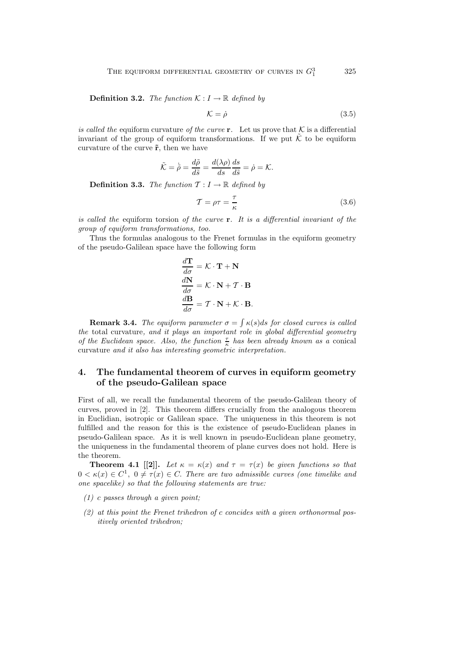**Definition 3.2.** *The function*  $K: I \to \mathbb{R}$  *defined by* 

$$
\mathcal{K} = \dot{\rho} \tag{3.5}
$$

*is called the* equiform curvature *of the curve* **r***.* Let us prove that  $K$  is a differential invariant of the group of equiform transformations. If we put  $\tilde{\mathcal{K}}$  to be equiform curvature of the curve **˜r**, then we have

$$
\tilde{\mathcal{K}} = \tilde{\rho} = \frac{d\tilde{\rho}}{d\tilde{s}} = \frac{d(\lambda \rho)}{ds} \frac{ds}{d\tilde{s}} = \dot{\rho} = \mathcal{K}.
$$

**Definition 3.3.** *The function*  $\mathcal{T}: I \to \mathbb{R}$  *defined by* 

$$
\mathcal{T} = \rho \tau = \frac{\tau}{\kappa} \tag{3.6}
$$

*is called the* equiform torsion *of the curve* **r***. It is a differential invariant of the group of equiform transformations, too.*

Thus the formulas analogous to the Frenet formulas in the equiform geometry of the pseudo-Galilean space have the following form

$$
\frac{d\mathbf{T}}{d\sigma} = \mathcal{K} \cdot \mathbf{T} + \mathbf{N}
$$

$$
\frac{d\mathbf{N}}{d\sigma} = \mathcal{K} \cdot \mathbf{N} + \mathcal{T} \cdot \mathbf{B}
$$

$$
\frac{d\mathbf{B}}{d\sigma} = \mathcal{T} \cdot \mathbf{N} + \mathcal{K} \cdot \mathbf{B}.
$$

**Remark 3.4.** *The equiform parameter*  $\sigma = \int \kappa(s)ds$  *for closed curves is called the* total curvature*, and it plays an important role in global differential geometry of the Euclidean space. Also, the function*  $\frac{\tau}{\kappa}$  *has been already known as a* conical curvature *and it also has interesting geometric interpretation.*

## **4. The fundamental theorem of curves in equiform geometry of the pseudo-Galilean space**

First of all, we recall the fundamental theorem of the pseudo-Galilean theory of curves, proved in [2]. This theorem differs crucially from the analogous theorem in Euclidian, isotropic or Galilean space. The uniqueness in this theorem is not fulfilled and the reason for this is the existence of pseudo-Euclidean planes in pseudo-Galilean space. As it is well known in pseudo-Euclidean plane geometry, the uniqueness in the fundamental theorem of plane curves does not hold. Here is the theorem.

**Theorem 4.1** [[2]]. Let  $\kappa = \kappa(x)$  and  $\tau = \tau(x)$  be given functions so that  $0 < \kappa(x) \in C^1$ ,  $0 \neq \tau(x) \in C$ . *There are two admissible curves (one timelike and one spacelike) so that the following statements are true:*

- *(1)* c *passes through a given point;*
- *(2) at this point the Frenet trihedron of* c *concides with a given orthonormal positively oriented trihedron;*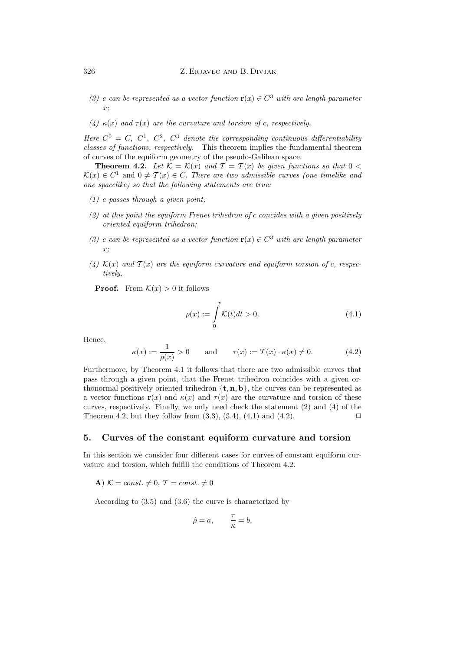- *(3) c can be represented as a vector function* **r**(x) ∈  $C^3$  *with arc length parameter* x*;*
- *(4)* κ(x) *and* τ(x) *are the curvature and torsion of* c*, respectively.*

*Here*  $C^0 = C$ ,  $C^1$ ,  $C^2$ ,  $C^3$  *denote the corresponding continuous differentiability classes of functions, respectively.* This theorem implies the fundamental theorem of curves of the equiform geometry of the pseudo-Galilean space.

**Theorem 4.2.** Let  $\mathcal{K} = \mathcal{K}(x)$  and  $\mathcal{T} = \mathcal{T}(x)$  be given functions so that  $0 <$  $\mathcal{K}(x) \in C^1$  and  $0 \neq \mathcal{T}(x) \in C$ . There are two admissible curves (one timelike and *one spacelike) so that the following statements are true:*

- *(1)* c *passes through a given point;*
- *(2) at this point the equiform Frenet trihedron of* c *concides with a given positively oriented equiform trihedron;*
- *(3) c can be represented as a vector function*  $\mathbf{r}(x) \in C^3$  *with arc length parameter* x*;*
- (4)  $\mathcal{K}(x)$  and  $\mathcal{T}(x)$  are the equiform curvature and equiform torsion of c, respec*tively.*

**Proof.** From  $\mathcal{K}(x) > 0$  it follows

$$
\rho(x) := \int_{0}^{x} K(t)dt > 0.
$$
\n(4.1)

Hence,

$$
\kappa(x) := \frac{1}{\rho(x)} > 0 \qquad \text{and} \qquad \tau(x) := \mathcal{T}(x) \cdot \kappa(x) \neq 0. \tag{4.2}
$$

Furthermore, by Theorem 4.1 it follows that there are two admissible curves that pass through a given point, that the Frenet trihedron coincides with a given orthonormal positively oriented trihedron  ${\bf \{t, n, b\}}$ , the curves can be represented as a vector functions **r**(x) and  $\kappa(x)$  and  $\tau(x)$  are the curvature and torsion of these curves, respectively. Finally, we only need check the statement (2) and (4) of the Theorem 4.2, but they follow from  $(3.3)$ ,  $(3.4)$ ,  $(4.1)$  and  $(4.2)$ .

#### **5. Curves of the constant equiform curvature and torsion**

In this section we consider four different cases for curves of constant equiform curvature and torsion, which fulfill the conditions of Theorem 4.2.

**A**)  $K = const. \neq 0, T = const. \neq 0$ 

According to (3.5) and (3.6) the curve is characterized by

$$
\dot{\rho} = a, \qquad \frac{\tau}{\kappa} = b,
$$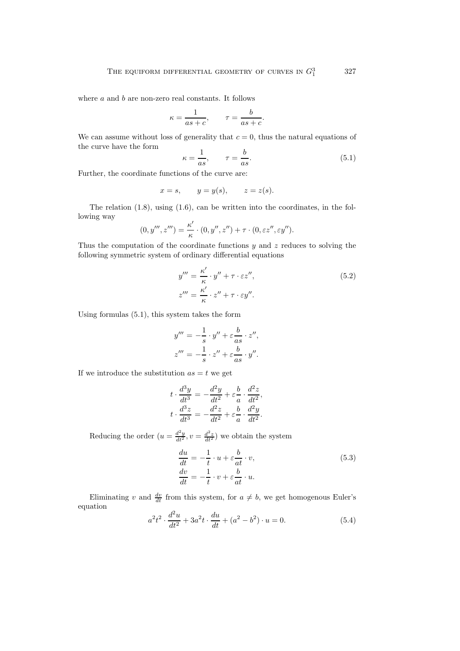where  $a$  and  $b$  are non-zero real constants. It follows

$$
\kappa = \frac{1}{as+c}, \qquad \tau = \frac{b}{as+c}.
$$

We can assume without loss of generality that  $c = 0$ , thus the natural equations of the curve have the form

$$
\kappa = \frac{1}{as}, \qquad \tau = \frac{b}{as}.\tag{5.1}
$$

Further, the coordinate functions of the curve are:

$$
x = s, \qquad y = y(s), \qquad z = z(s).
$$

The relation (1.8), using (1.6), can be written into the coordinates, in the following way

$$
(0, y''', z''') = \frac{\kappa'}{\kappa} \cdot (0, y'', z'') + \tau \cdot (0, \varepsilon z'', \varepsilon y'').
$$

Thus the computation of the coordinate functions  $y$  and  $z$  reduces to solving the following symmetric system of ordinary differential equations

$$
y''' = \frac{\kappa'}{\kappa} \cdot y'' + \tau \cdot \varepsilon z'',
$$
  
\n
$$
z''' = \frac{\kappa'}{\kappa} \cdot z'' + \tau \cdot \varepsilon y''.
$$
\n(5.2)

Using formulas (5.1), this system takes the form

$$
y''' = -\frac{1}{s} \cdot y'' + \varepsilon \frac{b}{as} \cdot z'',
$$
  

$$
z''' = -\frac{1}{s} \cdot z'' + \varepsilon \frac{b}{as} \cdot y''.
$$

If we introduce the substitution  $as = t$  we get

$$
t \cdot \frac{d^3y}{dt^3} = -\frac{d^2y}{dt^2} + \varepsilon \frac{b}{a} \cdot \frac{d^2z}{dt^2},
$$
  

$$
t \cdot \frac{d^3z}{dt^3} = -\frac{d^2z}{dt^2} + \varepsilon \frac{b}{a} \cdot \frac{d^2y}{dt^2}.
$$

Reducing the order  $(u = \frac{d^2y}{dt^2}, v = \frac{d^2z}{dt^2})$  we obtain the system

$$
\begin{aligned}\n\frac{du}{dt} &= -\frac{1}{t} \cdot u + \varepsilon \frac{b}{at} \cdot v, \\
\frac{dv}{dt} &= -\frac{1}{t} \cdot v + \varepsilon \frac{b}{at} \cdot u.\n\end{aligned} \tag{5.3}
$$

Eliminating v and  $\frac{dv}{dt}$  from this system, for  $a \neq b$ , we get homogenous Euler's equation

$$
a^{2}t^{2} \cdot \frac{d^{2}u}{dt^{2}} + 3a^{2}t \cdot \frac{du}{dt} + (a^{2} - b^{2}) \cdot u = 0.
$$
 (5.4)

327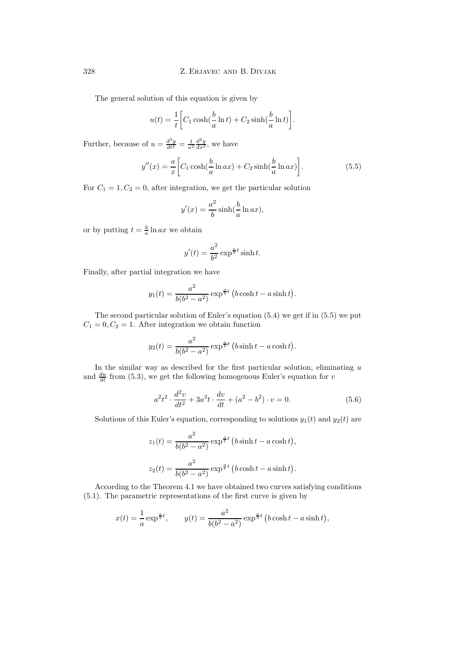The general solution of this equation is given by

$$
u(t) = \frac{1}{t} \left[ C_1 \cosh(\frac{b}{a} \ln t) + C_2 \sinh(\frac{b}{a} \ln t) \right].
$$

Further, because of  $u = \frac{d^2y}{dt^2} = \frac{1}{a^2} \frac{d^2y}{dx^2}$ , we have

$$
y''(x) = \frac{a}{x} \left[ C_1 \cosh(\frac{b}{a} \ln ax) + C_2 \sinh(\frac{b}{a} \ln ax) \right].
$$
 (5.5)

For  $C_1 = 1, C_2 = 0$ , after integration, we get the particular solution

$$
y'(x) = \frac{a^2}{b}\sinh(\frac{b}{a}\ln ax),
$$

or by putting  $t = \frac{b}{a} \ln ax$  we obtain

$$
y'(t) = \frac{a^2}{b^2} \exp^{\frac{a}{b}t} \sinh t.
$$

Finally, after partial integration we have

$$
y_1(t) = \frac{a^2}{b(b^2 - a^2)} \exp^{\frac{a}{b}t} (b \cosh t - a \sinh t).
$$

The second particular solution of Euler's equation (5.4) we get if in (5.5) we put  $C_1 = 0, C_2 = 1.$  After integration we obtain function

$$
y_2(t) = \frac{a^2}{b(b^2 - a^2)} \exp^{\frac{a}{b}t} (b \sinh t - a \cosh t).
$$

In the similar way as described for the first particular solution, eliminating  $u$ and  $\frac{du}{dt}$  from (5.3), we get the following homogenous Euler's equation for v

$$
a^{2}t^{2} \cdot \frac{d^{2}v}{dt^{2}} + 3a^{2}t \cdot \frac{dv}{dt} + (a^{2} - b^{2}) \cdot v = 0.
$$
 (5.6)

Solutions of this Euler's equation, corresponding to solutions  $y_1(t)$  and  $y_2(t)$  are

$$
z_1(t) = \frac{a^2}{b(b^2 - a^2)} \exp^{\frac{a}{b}t} (b \sinh t - a \cosh t),
$$
  

$$
z_2(t) = \frac{a^2}{b(b^2 - a^2)} \exp^{\frac{a}{b}t} (b \cosh t - a \sinh t).
$$

According to the Theorem 4.1 we have obtained two curves satisfying conditions (5.1). The parametric representations of the first curve is given by

$$
x(t) = \frac{1}{a} \exp^{\frac{a}{b}t}
$$
,  $y(t) = \frac{a^2}{b(b^2 - a^2)} \exp^{\frac{a}{b}t} (b \cosh t - a \sinh t)$ ,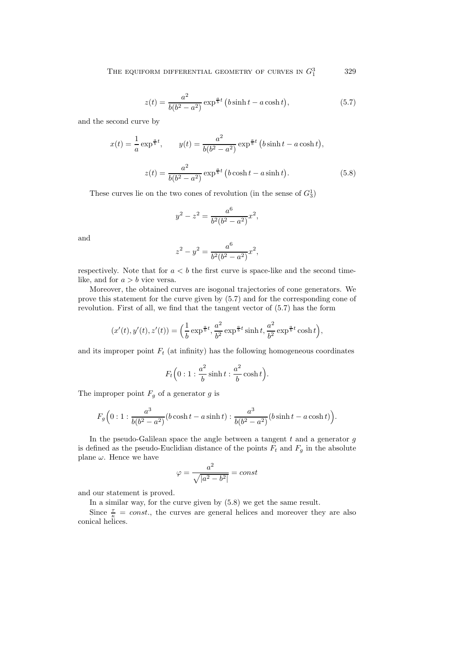$$
z(t) = \frac{a^2}{b(b^2 - a^2)} \exp^{\frac{a}{b}t} (b \sinh t - a \cosh t),
$$
 (5.7)

and the second curve by

$$
x(t) = \frac{1}{a} \exp^{\frac{a}{b}t}, \qquad y(t) = \frac{a^2}{b(b^2 - a^2)} \exp^{\frac{a}{b}t} (b \sinh t - a \cosh t),
$$

$$
z(t) = \frac{a^2}{b(b^2 - a^2)} \exp^{\frac{a}{b}t} (b \cosh t - a \sinh t).
$$
(5.8)

These curves lie on the two cones of revolution (in the sense of  $G_3^1$ )

$$
y^2 - z^2 = \frac{a^6}{b^2(b^2 - a^2)}x^2,
$$

and

$$
z^2 - y^2 = \frac{a^6}{b^2(b^2 - a^2)}x^2,
$$

respectively. Note that for  $a < b$  the first curve is space-like and the second timelike, and for  $a > b$  vice versa.

Moreover, the obtained curves are isogonal trajectories of cone generators. We prove this statement for the curve given by (5.7) and for the corresponding cone of revolution. First of all, we find that the tangent vector of (5.7) has the form

$$
(x'(t), y'(t), z'(t)) = \left(\frac{1}{b} \exp^{\frac{a}{b}t}, \frac{a^2}{b^2} \exp^{\frac{a}{b}t} \sinh t, \frac{a^2}{b^2} \exp^{\frac{a}{b}t} \cosh t\right),\,
$$

and its improper point  $F_t$  (at infinity) has the following homogeneous coordinates

$$
F_t\Big(0:1:\frac{a^2}{b}\sinh t:\frac{a^2}{b}\cosh t\Big).
$$

The improper point  $F<sub>g</sub>$  of a generator g is

$$
F_g\Big(0:1:\frac{a^3}{b(b^2-a^2)}(b\cosh t - a\sinh t):\frac{a^3}{b(b^2-a^2)}(b\sinh t - a\cosh t)\Big).
$$

In the pseudo-Galilean space the angle between a tangent  $t$  and a generator  $g$ is defined as the pseudo-Euclidian distance of the points  $F_t$  and  $F_g$  in the absolute plane  $\omega$ . Hence we have

$$
\varphi = \frac{a^2}{\sqrt{|a^2 - b^2|}} = const
$$

and our statement is proved.

In a similar way, for the curve given by (5.8) we get the same result.

Since  $\frac{\tau}{\kappa} = const.$ , the curves are general helices and moreover they are also conical helices.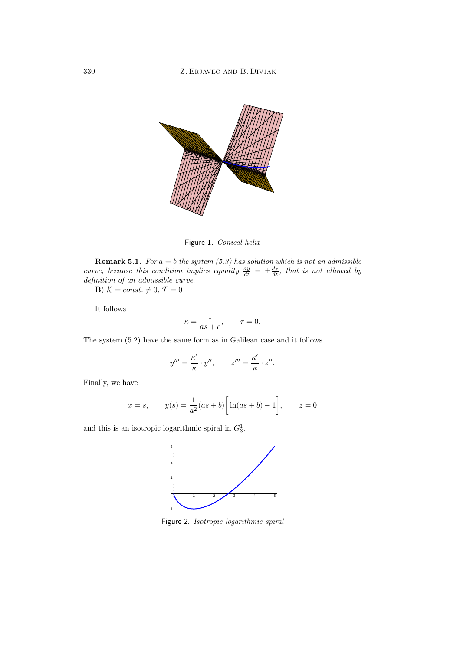

Figure 1. *Conical helix*

**Remark 5.1.** *For*  $a = b$  *the system* (5.3) has solution which is not an admissible *curve, because this condition implies equality*  $\frac{dy}{dt} = \pm \frac{dz}{dt}$ *, that is not allowed by definition of an admissible curve.*

**B**)  $K = const. \neq 0, T = 0$ 

It follows

$$
\kappa = \frac{1}{as+c}, \qquad \tau = 0.
$$

The system (5.2) have the same form as in Galilean case and it follows

$$
y''' = \frac{\kappa'}{\kappa} \cdot y'', \qquad z''' = \frac{\kappa'}{\kappa} \cdot z''.
$$

Finally, we have

$$
x = s
$$
,  $y(s) = \frac{1}{a^2}(as+b) \left[ \ln(as+b) - 1 \right]$ ,  $z = 0$ 

and this is an isotropic logarithmic spiral in  $G_3^1$ .



Figure 2. *Isotropic logarithmic spiral*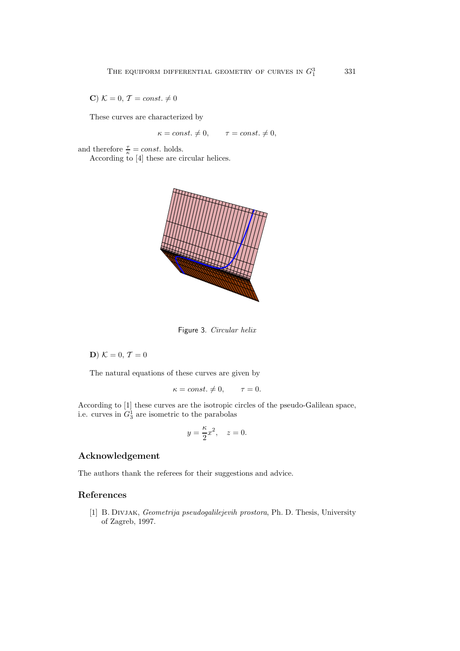**C**)  $K = 0, T = const. \neq 0$ 

These curves are characterized by

 $\kappa = const. \neq 0,$   $\tau = const. \neq 0,$ 

and therefore  $\frac{\tau}{\kappa} = const.$  holds. According to [4] these are circular helices.



Figure 3. *Circular helix*

**D**)  $K = 0, T = 0$ 

The natural equations of these curves are given by

$$
\kappa = const. \neq 0, \qquad \tau = 0.
$$

According to [1] these curves are the isotropic circles of the pseudo-Galilean space, i.e. curves in  $G_3^1$  are isometric to the parabolas

$$
y = \frac{\kappa}{2}x^2, \quad z = 0.
$$

## **Acknowledgement**

The authors thank the referees for their suggestions and advice.

### **References**

[1] B. Divjak, *Geometrija pseudogalilejevih prostora*, Ph. D. Thesis, University of Zagreb, 1997.